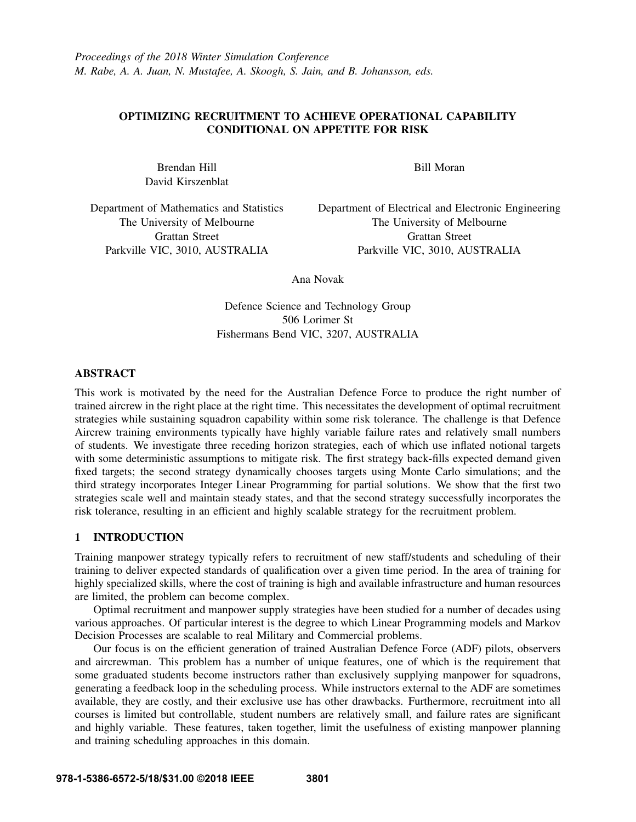# OPTIMIZING RECRUITMENT TO ACHIEVE OPERATIONAL CAPABILITY CONDITIONAL ON APPETITE FOR RISK

Brendan Hill David Kirszenblat Bill Moran

Department of Mathematics and Statistics The University of Melbourne Grattan Street Parkville VIC, 3010, AUSTRALIA

Department of Electrical and Electronic Engineering The University of Melbourne Grattan Street Parkville VIC, 3010, AUSTRALIA

Ana Novak

Defence Science and Technology Group 506 Lorimer St Fishermans Bend VIC, 3207, AUSTRALIA

## ABSTRACT

This work is motivated by the need for the Australian Defence Force to produce the right number of trained aircrew in the right place at the right time. This necessitates the development of optimal recruitment strategies while sustaining squadron capability within some risk tolerance. The challenge is that Defence Aircrew training environments typically have highly variable failure rates and relatively small numbers of students. We investigate three receding horizon strategies, each of which use inflated notional targets with some deterministic assumptions to mitigate risk. The first strategy back-fills expected demand given fixed targets; the second strategy dynamically chooses targets using Monte Carlo simulations; and the third strategy incorporates Integer Linear Programming for partial solutions. We show that the first two strategies scale well and maintain steady states, and that the second strategy successfully incorporates the risk tolerance, resulting in an efficient and highly scalable strategy for the recruitment problem.

# 1 INTRODUCTION

Training manpower strategy typically refers to recruitment of new staff/students and scheduling of their training to deliver expected standards of qualification over a given time period. In the area of training for highly specialized skills, where the cost of training is high and available infrastructure and human resources are limited, the problem can become complex.

Optimal recruitment and manpower supply strategies have been studied for a number of decades using various approaches. Of particular interest is the degree to which Linear Programming models and Markov Decision Processes are scalable to real Military and Commercial problems.

Our focus is on the efficient generation of trained Australian Defence Force (ADF) pilots, observers and aircrewman. This problem has a number of unique features, one of which is the requirement that some graduated students become instructors rather than exclusively supplying manpower for squadrons, generating a feedback loop in the scheduling process. While instructors external to the ADF are sometimes available, they are costly, and their exclusive use has other drawbacks. Furthermore, recruitment into all courses is limited but controllable, student numbers are relatively small, and failure rates are significant and highly variable. These features, taken together, limit the usefulness of existing manpower planning and training scheduling approaches in this domain.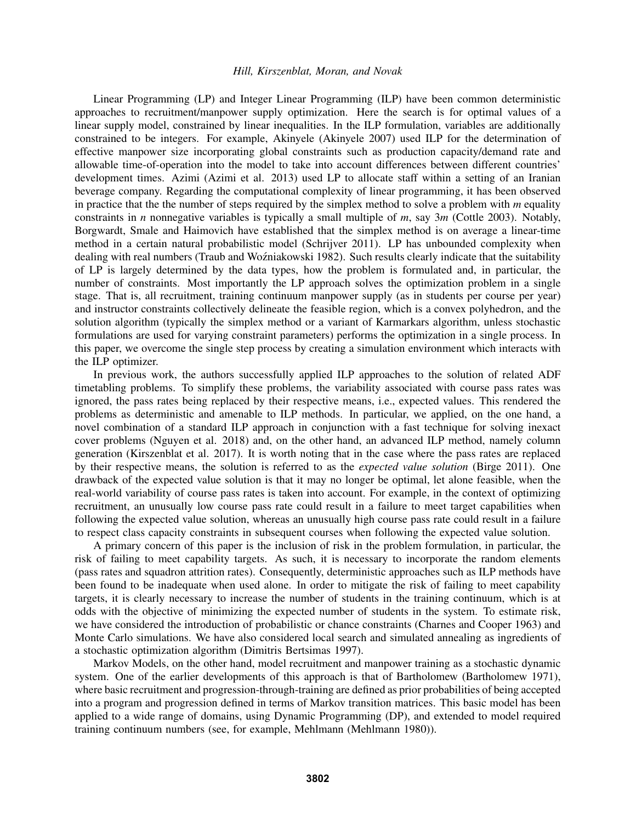Linear Programming (LP) and Integer Linear Programming (ILP) have been common deterministic approaches to recruitment/manpower supply optimization. Here the search is for optimal values of a linear supply model, constrained by linear inequalities. In the ILP formulation, variables are additionally constrained to be integers. For example, Akinyele (Akinyele 2007) used ILP for the determination of effective manpower size incorporating global constraints such as production capacity/demand rate and allowable time-of-operation into the model to take into account differences between different countries' development times. Azimi (Azimi et al. 2013) used LP to allocate staff within a setting of an Iranian beverage company. Regarding the computational complexity of linear programming, it has been observed in practice that the the number of steps required by the simplex method to solve a problem with *m* equality constraints in *n* nonnegative variables is typically a small multiple of *m*, say 3*m* (Cottle 2003). Notably, Borgwardt, Smale and Haimovich have established that the simplex method is on average a linear-time method in a certain natural probabilistic model (Schrijver 2011). LP has unbounded complexity when dealing with real numbers (Traub and Woźniakowski 1982). Such results clearly indicate that the suitability of LP is largely determined by the data types, how the problem is formulated and, in particular, the number of constraints. Most importantly the LP approach solves the optimization problem in a single stage. That is, all recruitment, training continuum manpower supply (as in students per course per year) and instructor constraints collectively delineate the feasible region, which is a convex polyhedron, and the solution algorithm (typically the simplex method or a variant of Karmarkars algorithm, unless stochastic formulations are used for varying constraint parameters) performs the optimization in a single process. In this paper, we overcome the single step process by creating a simulation environment which interacts with the ILP optimizer.

In previous work, the authors successfully applied ILP approaches to the solution of related ADF timetabling problems. To simplify these problems, the variability associated with course pass rates was ignored, the pass rates being replaced by their respective means, i.e., expected values. This rendered the problems as deterministic and amenable to ILP methods. In particular, we applied, on the one hand, a novel combination of a standard ILP approach in conjunction with a fast technique for solving inexact cover problems (Nguyen et al. 2018) and, on the other hand, an advanced ILP method, namely column generation (Kirszenblat et al. 2017). It is worth noting that in the case where the pass rates are replaced by their respective means, the solution is referred to as the *expected value solution* (Birge 2011). One drawback of the expected value solution is that it may no longer be optimal, let alone feasible, when the real-world variability of course pass rates is taken into account. For example, in the context of optimizing recruitment, an unusually low course pass rate could result in a failure to meet target capabilities when following the expected value solution, whereas an unusually high course pass rate could result in a failure to respect class capacity constraints in subsequent courses when following the expected value solution.

A primary concern of this paper is the inclusion of risk in the problem formulation, in particular, the risk of failing to meet capability targets. As such, it is necessary to incorporate the random elements (pass rates and squadron attrition rates). Consequently, deterministic approaches such as ILP methods have been found to be inadequate when used alone. In order to mitigate the risk of failing to meet capability targets, it is clearly necessary to increase the number of students in the training continuum, which is at odds with the objective of minimizing the expected number of students in the system. To estimate risk, we have considered the introduction of probabilistic or chance constraints (Charnes and Cooper 1963) and Monte Carlo simulations. We have also considered local search and simulated annealing as ingredients of a stochastic optimization algorithm (Dimitris Bertsimas 1997).

Markov Models, on the other hand, model recruitment and manpower training as a stochastic dynamic system. One of the earlier developments of this approach is that of Bartholomew (Bartholomew 1971), where basic recruitment and progression-through-training are defined as prior probabilities of being accepted into a program and progression defined in terms of Markov transition matrices. This basic model has been applied to a wide range of domains, using Dynamic Programming (DP), and extended to model required training continuum numbers (see, for example, Mehlmann (Mehlmann 1980)).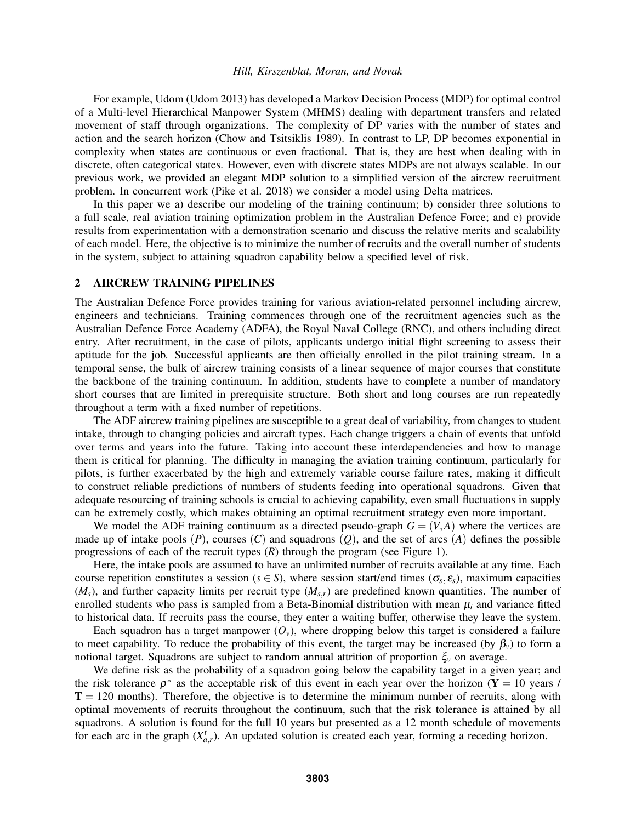For example, Udom (Udom 2013) has developed a Markov Decision Process (MDP) for optimal control of a Multi-level Hierarchical Manpower System (MHMS) dealing with department transfers and related movement of staff through organizations. The complexity of DP varies with the number of states and action and the search horizon (Chow and Tsitsiklis 1989). In contrast to LP, DP becomes exponential in complexity when states are continuous or even fractional. That is, they are best when dealing with in discrete, often categorical states. However, even with discrete states MDPs are not always scalable. In our previous work, we provided an elegant MDP solution to a simplified version of the aircrew recruitment problem. In concurrent work (Pike et al. 2018) we consider a model using Delta matrices.

In this paper we a) describe our modeling of the training continuum; b) consider three solutions to a full scale, real aviation training optimization problem in the Australian Defence Force; and c) provide results from experimentation with a demonstration scenario and discuss the relative merits and scalability of each model. Here, the objective is to minimize the number of recruits and the overall number of students in the system, subject to attaining squadron capability below a specified level of risk.

#### 2 AIRCREW TRAINING PIPELINES

The Australian Defence Force provides training for various aviation-related personnel including aircrew, engineers and technicians. Training commences through one of the recruitment agencies such as the Australian Defence Force Academy (ADFA), the Royal Naval College (RNC), and others including direct entry. After recruitment, in the case of pilots, applicants undergo initial flight screening to assess their aptitude for the job. Successful applicants are then officially enrolled in the pilot training stream. In a temporal sense, the bulk of aircrew training consists of a linear sequence of major courses that constitute the backbone of the training continuum. In addition, students have to complete a number of mandatory short courses that are limited in prerequisite structure. Both short and long courses are run repeatedly throughout a term with a fixed number of repetitions.

The ADF aircrew training pipelines are susceptible to a great deal of variability, from changes to student intake, through to changing policies and aircraft types. Each change triggers a chain of events that unfold over terms and years into the future. Taking into account these interdependencies and how to manage them is critical for planning. The difficulty in managing the aviation training continuum, particularly for pilots, is further exacerbated by the high and extremely variable course failure rates, making it difficult to construct reliable predictions of numbers of students feeding into operational squadrons. Given that adequate resourcing of training schools is crucial to achieving capability, even small fluctuations in supply can be extremely costly, which makes obtaining an optimal recruitment strategy even more important.

We model the ADF training continuum as a directed pseudo-graph  $G = (V, A)$  where the vertices are made up of intake pools  $(P)$ , courses  $(C)$  and squadrons  $(Q)$ , and the set of arcs  $(A)$  defines the possible progressions of each of the recruit types (*R*) through the program (see Figure 1).

Here, the intake pools are assumed to have an unlimited number of recruits available at any time. Each course repetition constitutes a session ( $s \in S$ ), where session start/end times ( $\sigma_s$ , $\varepsilon_s$ ), maximum capacities (*Ms*), and further capacity limits per recruit type (*Ms*,*r*) are predefined known quantities. The number of enrolled students who pass is sampled from a Beta-Binomial distribution with mean  $\mu_i$  and variance fitted to historical data. If recruits pass the course, they enter a waiting buffer, otherwise they leave the system.

Each squadron has a target manpower  $(O_v)$ , where dropping below this target is considered a failure to meet capability. To reduce the probability of this event, the target may be increased (by  $\beta_v$ ) to form a notional target. Squadrons are subject to random annual attrition of proportion ξ*<sup>v</sup>* on average.

We define risk as the probability of a squadron going below the capability target in a given year; and the risk tolerance  $\rho^*$  as the acceptable risk of this event in each year over the horizon (Y = 10 years /  $T = 120$  months). Therefore, the objective is to determine the minimum number of recruits, along with optimal movements of recruits throughout the continuum, such that the risk tolerance is attained by all squadrons. A solution is found for the full 10 years but presented as a 12 month schedule of movements for each arc in the graph  $(X_{a,r}^t)$ . An updated solution is created each year, forming a receding horizon.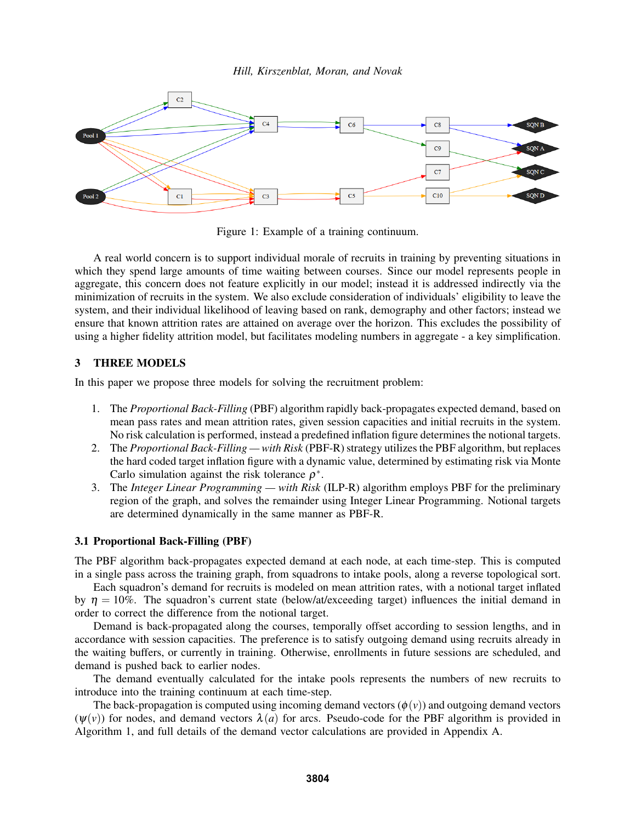

Figure 1: Example of a training continuum.

A real world concern is to support individual morale of recruits in training by preventing situations in which they spend large amounts of time waiting between courses. Since our model represents people in aggregate, this concern does not feature explicitly in our model; instead it is addressed indirectly via the minimization of recruits in the system. We also exclude consideration of individuals' eligibility to leave the system, and their individual likelihood of leaving based on rank, demography and other factors; instead we ensure that known attrition rates are attained on average over the horizon. This excludes the possibility of using a higher fidelity attrition model, but facilitates modeling numbers in aggregate - a key simplification.

# 3 THREE MODELS

In this paper we propose three models for solving the recruitment problem:

- 1. The *Proportional Back-Filling* (PBF) algorithm rapidly back-propagates expected demand, based on mean pass rates and mean attrition rates, given session capacities and initial recruits in the system. No risk calculation is performed, instead a predefined inflation figure determines the notional targets.
- 2. The *Proportional Back-Filling with Risk* (PBF-R) strategy utilizes the PBF algorithm, but replaces the hard coded target inflation figure with a dynamic value, determined by estimating risk via Monte Carlo simulation against the risk tolerance  $\rho^*$ .
- 3. The *Integer Linear Programming with Risk* (ILP-R) algorithm employs PBF for the preliminary region of the graph, and solves the remainder using Integer Linear Programming. Notional targets are determined dynamically in the same manner as PBF-R.

## 3.1 Proportional Back-Filling (PBF)

The PBF algorithm back-propagates expected demand at each node, at each time-step. This is computed in a single pass across the training graph, from squadrons to intake pools, along a reverse topological sort.

Each squadron's demand for recruits is modeled on mean attrition rates, with a notional target inflated by  $\eta = 10\%$ . The squadron's current state (below/at/exceeding target) influences the initial demand in order to correct the difference from the notional target.

Demand is back-propagated along the courses, temporally offset according to session lengths, and in accordance with session capacities. The preference is to satisfy outgoing demand using recruits already in the waiting buffers, or currently in training. Otherwise, enrollments in future sessions are scheduled, and demand is pushed back to earlier nodes.

The demand eventually calculated for the intake pools represents the numbers of new recruits to introduce into the training continuum at each time-step.

The back-propagation is computed using incoming demand vectors  $(\phi(v))$  and outgoing demand vectors  $(\psi(\nu))$  for nodes, and demand vectors  $\lambda(a)$  for arcs. Pseudo-code for the PBF algorithm is provided in Algorithm 1, and full details of the demand vector calculations are provided in Appendix A.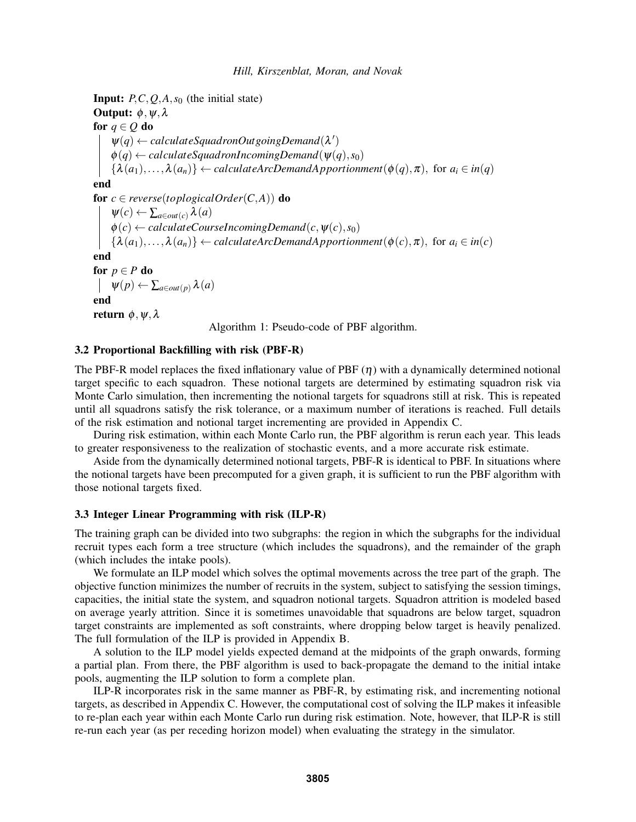**Input:**  $P, C, O, A, s_0$  (the initial state) Output:  $\phi, \psi, \lambda$ for  $q \in Q$  do  $\psi(q) \leftarrow$  *calculateSquadronOutgoingDemand* $(\lambda')$  $\phi(q) \leftarrow calculateSquad$ *ronIncomingDemand*( $\psi(q), s_0$ )  ${ \{ \lambda(a_1), \ldots, \lambda(a_n) \} \leftarrow}$  *calculateArcDemandApportionment*( $\phi(q), \pi$ ), for  $a_i \in in(q)$ end **for**  $c \in reverse(toplogicalOrder(C, A))$  **do**  $\Psi(c) \leftarrow \sum_{a \in out(c)} \lambda(a)$  $\phi(c) \leftarrow calculateCourseIncomingDomain(c, \psi(c), s_0)$  ${\lambda(a_1), \ldots, \lambda(a_n)} \leftarrow calculateArcDemandApproxI|$  *Apportionment* $(\phi(c), \pi)$ , for  $a_i \in in(c)$ end for  $p \in P$  do  $\downarrow \psi(p) \leftarrow \sum_{a \in out(p)} \lambda(a)$ end return  $\phi$ ,  $\psi$ ,  $\lambda$ Algorithm 1: Pseudo-code of PBF algorithm.

#### 3.2 Proportional Backfilling with risk (PBF-R)

The PBF-R model replaces the fixed inflationary value of PBF  $(\eta)$  with a dynamically determined notional target specific to each squadron. These notional targets are determined by estimating squadron risk via Monte Carlo simulation, then incrementing the notional targets for squadrons still at risk. This is repeated until all squadrons satisfy the risk tolerance, or a maximum number of iterations is reached. Full details of the risk estimation and notional target incrementing are provided in Appendix C.

During risk estimation, within each Monte Carlo run, the PBF algorithm is rerun each year. This leads to greater responsiveness to the realization of stochastic events, and a more accurate risk estimate.

Aside from the dynamically determined notional targets, PBF-R is identical to PBF. In situations where the notional targets have been precomputed for a given graph, it is sufficient to run the PBF algorithm with those notional targets fixed.

## 3.3 Integer Linear Programming with risk (ILP-R)

The training graph can be divided into two subgraphs: the region in which the subgraphs for the individual recruit types each form a tree structure (which includes the squadrons), and the remainder of the graph (which includes the intake pools).

We formulate an ILP model which solves the optimal movements across the tree part of the graph. The objective function minimizes the number of recruits in the system, subject to satisfying the session timings, capacities, the initial state the system, and squadron notional targets. Squadron attrition is modeled based on average yearly attrition. Since it is sometimes unavoidable that squadrons are below target, squadron target constraints are implemented as soft constraints, where dropping below target is heavily penalized. The full formulation of the ILP is provided in Appendix B.

A solution to the ILP model yields expected demand at the midpoints of the graph onwards, forming a partial plan. From there, the PBF algorithm is used to back-propagate the demand to the initial intake pools, augmenting the ILP solution to form a complete plan.

ILP-R incorporates risk in the same manner as PBF-R, by estimating risk, and incrementing notional targets, as described in Appendix C. However, the computational cost of solving the ILP makes it infeasible to re-plan each year within each Monte Carlo run during risk estimation. Note, however, that ILP-R is still re-run each year (as per receding horizon model) when evaluating the strategy in the simulator.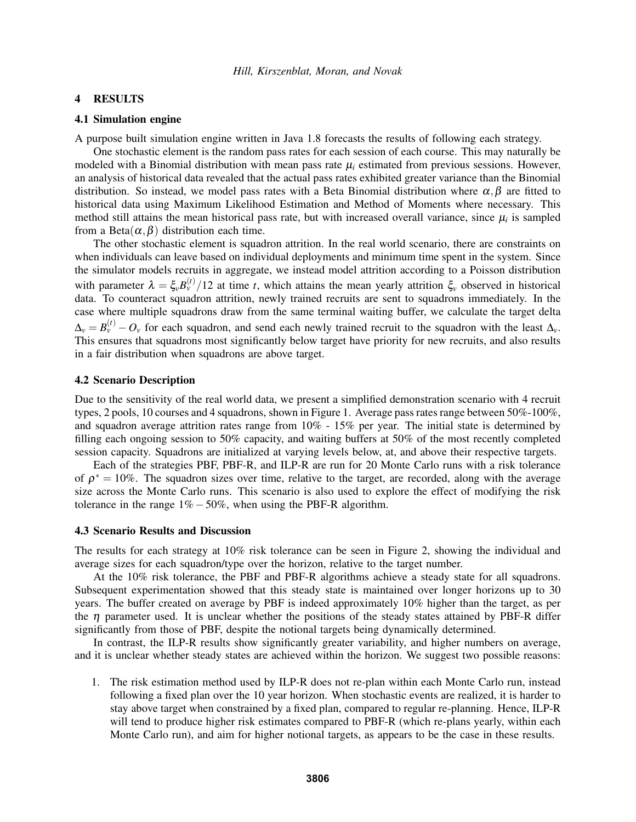#### 4 RESULTS

## 4.1 Simulation engine

A purpose built simulation engine written in Java 1.8 forecasts the results of following each strategy.

One stochastic element is the random pass rates for each session of each course. This may naturally be modeled with a Binomial distribution with mean pass rate  $\mu_i$  estimated from previous sessions. However, an analysis of historical data revealed that the actual pass rates exhibited greater variance than the Binomial distribution. So instead, we model pass rates with a Beta Binomial distribution where  $\alpha, \beta$  are fitted to historical data using Maximum Likelihood Estimation and Method of Moments where necessary. This method still attains the mean historical pass rate, but with increased overall variance, since  $\mu_i$  is sampled from a Beta $(\alpha, \beta)$  distribution each time.

The other stochastic element is squadron attrition. In the real world scenario, there are constraints on when individuals can leave based on individual deployments and minimum time spent in the system. Since the simulator models recruits in aggregate, we instead model attrition according to a Poisson distribution with parameter  $\lambda = \xi_v B_v^{(t)}/12$  at time *t*, which attains the mean yearly attrition  $\xi_v$  observed in historical data. To counteract squadron attrition, newly trained recruits are sent to squadrons immediately. In the case where multiple squadrons draw from the same terminal waiting buffer, we calculate the target delta  $\Delta_{\nu} = B_{\nu}^{(t)} - O_{\nu}$  for each squadron, and send each newly trained recruit to the squadron with the least  $\Delta_{\nu}$ . This ensures that squadrons most significantly below target have priority for new recruits, and also results in a fair distribution when squadrons are above target.

## 4.2 Scenario Description

Due to the sensitivity of the real world data, we present a simplified demonstration scenario with 4 recruit types, 2 pools, 10 courses and 4 squadrons, shown in Figure 1. Average pass rates range between 50%-100%, and squadron average attrition rates range from 10% - 15% per year. The initial state is determined by filling each ongoing session to 50% capacity, and waiting buffers at 50% of the most recently completed session capacity. Squadrons are initialized at varying levels below, at, and above their respective targets.

Each of the strategies PBF, PBF-R, and ILP-R are run for 20 Monte Carlo runs with a risk tolerance of  $\rho^* = 10\%$ . The squadron sizes over time, relative to the target, are recorded, along with the average size across the Monte Carlo runs. This scenario is also used to explore the effect of modifying the risk tolerance in the range  $1\% - 50\%$ , when using the PBF-R algorithm.

#### 4.3 Scenario Results and Discussion

The results for each strategy at 10% risk tolerance can be seen in Figure 2, showing the individual and average sizes for each squadron/type over the horizon, relative to the target number.

At the 10% risk tolerance, the PBF and PBF-R algorithms achieve a steady state for all squadrons. Subsequent experimentation showed that this steady state is maintained over longer horizons up to 30 years. The buffer created on average by PBF is indeed approximately 10% higher than the target, as per the  $\eta$  parameter used. It is unclear whether the positions of the steady states attained by PBF-R differ significantly from those of PBF, despite the notional targets being dynamically determined.

In contrast, the ILP-R results show significantly greater variability, and higher numbers on average, and it is unclear whether steady states are achieved within the horizon. We suggest two possible reasons:

1. The risk estimation method used by ILP-R does not re-plan within each Monte Carlo run, instead following a fixed plan over the 10 year horizon. When stochastic events are realized, it is harder to stay above target when constrained by a fixed plan, compared to regular re-planning. Hence, ILP-R will tend to produce higher risk estimates compared to PBF-R (which re-plans yearly, within each Monte Carlo run), and aim for higher notional targets, as appears to be the case in these results.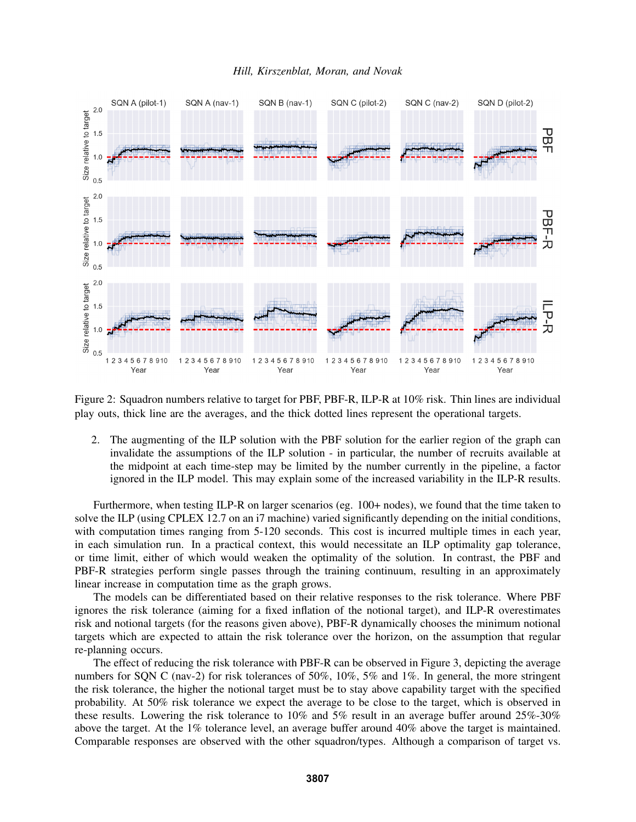

Figure 2: Squadron numbers relative to target for PBF, PBF-R, ILP-R at 10% risk. Thin lines are individual play outs, thick line are the averages, and the thick dotted lines represent the operational targets.

2. The augmenting of the ILP solution with the PBF solution for the earlier region of the graph can invalidate the assumptions of the ILP solution - in particular, the number of recruits available at the midpoint at each time-step may be limited by the number currently in the pipeline, a factor ignored in the ILP model. This may explain some of the increased variability in the ILP-R results.

Furthermore, when testing ILP-R on larger scenarios (eg. 100+ nodes), we found that the time taken to solve the ILP (using CPLEX 12.7 on an i7 machine) varied significantly depending on the initial conditions, with computation times ranging from 5-120 seconds. This cost is incurred multiple times in each year, in each simulation run. In a practical context, this would necessitate an ILP optimality gap tolerance, or time limit, either of which would weaken the optimality of the solution. In contrast, the PBF and PBF-R strategies perform single passes through the training continuum, resulting in an approximately linear increase in computation time as the graph grows.

The models can be differentiated based on their relative responses to the risk tolerance. Where PBF ignores the risk tolerance (aiming for a fixed inflation of the notional target), and ILP-R overestimates risk and notional targets (for the reasons given above), PBF-R dynamically chooses the minimum notional targets which are expected to attain the risk tolerance over the horizon, on the assumption that regular re-planning occurs.

The effect of reducing the risk tolerance with PBF-R can be observed in Figure 3, depicting the average numbers for SON C (nav-2) for risk tolerances of 50%, 10%, 5% and 1%. In general, the more stringent the risk tolerance, the higher the notional target must be to stay above capability target with the specified probability. At 50% risk tolerance we expect the average to be close to the target, which is observed in these results. Lowering the risk tolerance to 10% and 5% result in an average buffer around 25%-30% above the target. At the 1% tolerance level, an average buffer around 40% above the target is maintained. Comparable responses are observed with the other squadron/types. Although a comparison of target vs.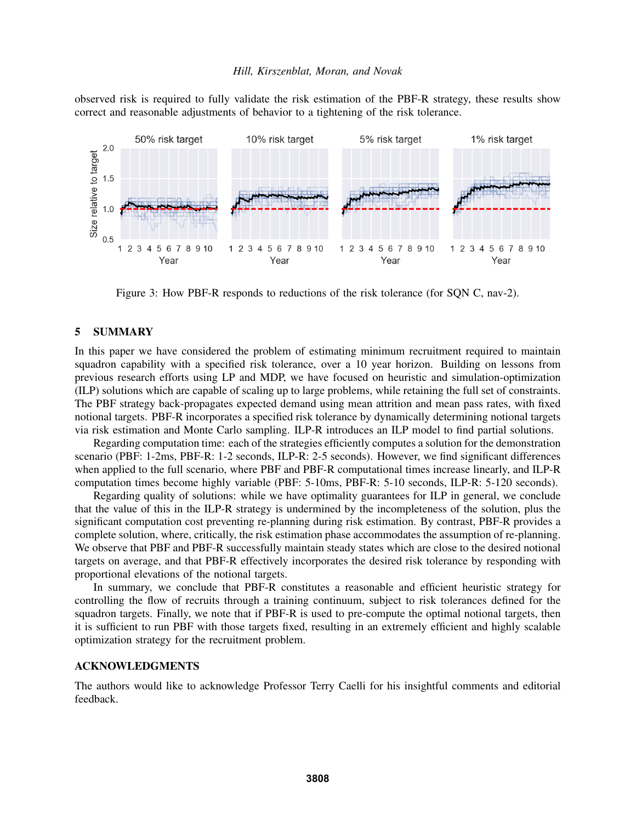observed risk is required to fully validate the risk estimation of the PBF-R strategy, these results show correct and reasonable adjustments of behavior to a tightening of the risk tolerance.



Figure 3: How PBF-R responds to reductions of the risk tolerance (for SQN C, nav-2).

## 5 SUMMARY

In this paper we have considered the problem of estimating minimum recruitment required to maintain squadron capability with a specified risk tolerance, over a 10 year horizon. Building on lessons from previous research efforts using LP and MDP, we have focused on heuristic and simulation-optimization (ILP) solutions which are capable of scaling up to large problems, while retaining the full set of constraints. The PBF strategy back-propagates expected demand using mean attrition and mean pass rates, with fixed notional targets. PBF-R incorporates a specified risk tolerance by dynamically determining notional targets via risk estimation and Monte Carlo sampling. ILP-R introduces an ILP model to find partial solutions.

Regarding computation time: each of the strategies efficiently computes a solution for the demonstration scenario (PBF: 1-2ms, PBF-R: 1-2 seconds, ILP-R: 2-5 seconds). However, we find significant differences when applied to the full scenario, where PBF and PBF-R computational times increase linearly, and ILP-R computation times become highly variable (PBF: 5-10ms, PBF-R: 5-10 seconds, ILP-R: 5-120 seconds).

Regarding quality of solutions: while we have optimality guarantees for ILP in general, we conclude that the value of this in the ILP-R strategy is undermined by the incompleteness of the solution, plus the significant computation cost preventing re-planning during risk estimation. By contrast, PBF-R provides a complete solution, where, critically, the risk estimation phase accommodates the assumption of re-planning. We observe that PBF and PBF-R successfully maintain steady states which are close to the desired notional targets on average, and that PBF-R effectively incorporates the desired risk tolerance by responding with proportional elevations of the notional targets.

In summary, we conclude that PBF-R constitutes a reasonable and efficient heuristic strategy for controlling the flow of recruits through a training continuum, subject to risk tolerances defined for the squadron targets. Finally, we note that if PBF-R is used to pre-compute the optimal notional targets, then it is sufficient to run PBF with those targets fixed, resulting in an extremely efficient and highly scalable optimization strategy for the recruitment problem.

#### ACKNOWLEDGMENTS

The authors would like to acknowledge Professor Terry Caelli for his insightful comments and editorial feedback.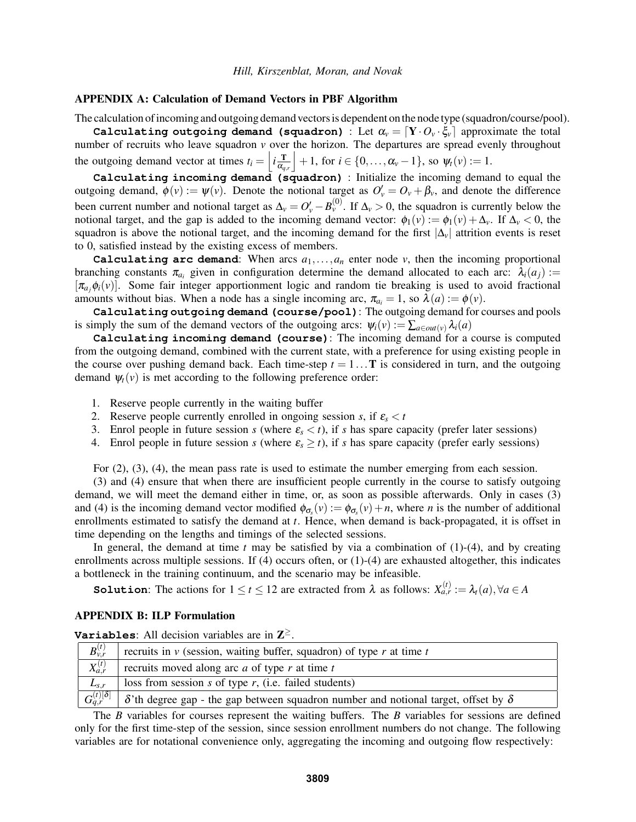## APPENDIX A: Calculation of Demand Vectors in PBF Algorithm

The calculation of incoming and outgoing demand vectors is dependent on the node type (squadron/course/pool).

**Calculating outgoing demand (squadron)** : Let  $\alpha_v = [\mathbf{Y} \cdot O_v \cdot \xi_v]$  approximate the total number of recruits who leave squadron *v* over the horizon. The departures are spread evenly throughout the outgoing demand vector at times  $t_i = \left| i \frac{\mathbf{T}}{\alpha_i} \right|$  $\alpha_{q,r}$  $\vert +1$ , for  $i \in \{0, \ldots, \alpha_v -1\}$ , so  $\psi_t(v) := 1$ .

**Calculating incoming demand (squadron)** : Initialize the incoming demand to equal the outgoing demand,  $\phi(v) := \psi(v)$ . Denote the notional target as  $O'_v = O_v + \beta_v$ , and denote the difference been current number and notional target as  $\Delta_v = O'_v - B_v^{(0)}$ . If  $\Delta_v > 0$ , the squadron is currently below the notional target, and the gap is added to the incoming demand vector:  $\phi_1(v) := \phi_1(v) + \Delta_v$ . If  $\Delta_v < 0$ , the squadron is above the notional target, and the incoming demand for the first  $|\Delta$ <sup>*v*</sup>| attrition events is reset to 0, satisfied instead by the existing excess of members.

**Calculating arc demand**: When arcs  $a_1, \ldots, a_n$  enter node  $\nu$ , then the incoming proportional branching constants  $\pi_{a_i}$  given in configuration determine the demand allocated to each arc:  $\lambda_i(a_j) :=$  $[\pi_a, \phi_i(v)]$ . Some fair integer apportionment logic and random tie breaking is used to avoid fractional amounts without bias. When a node has a single incoming arc,  $\pi_{a_i} = 1$ , so  $\lambda(a) := \phi(v)$ .

**Calculating outgoing demand (course/pool)**: The outgoing demand for courses and pools is simply the sum of the demand vectors of the outgoing arcs:  $\psi_i(v) := \sum_{a \in out(v)} \lambda_i(a)$ 

**Calculating incoming demand (course)**: The incoming demand for a course is computed from the outgoing demand, combined with the current state, with a preference for using existing people in the course over pushing demand back. Each time-step  $t = 1 \dots T$  is considered in turn, and the outgoing demand  $\psi_t(v)$  is met according to the following preference order:

- 1. Reserve people currently in the waiting buffer
- 2. Reserve people currently enrolled in ongoing session *s*, if  $\varepsilon_s < t$
- 3. Enrol people in future session *s* (where  $\varepsilon_s < t$ ), if *s* has spare capacity (prefer later sessions)
- 4. Enrol people in future session *s* (where  $\varepsilon_s \ge t$ ), if *s* has spare capacity (prefer early sessions)

For (2), (3), (4), the mean pass rate is used to estimate the number emerging from each session.

(3) and (4) ensure that when there are insufficient people currently in the course to satisfy outgoing demand, we will meet the demand either in time, or, as soon as possible afterwards. Only in cases (3) and (4) is the incoming demand vector modified  $\phi_{\sigma_s}(v) := \phi_{\sigma_s}(v) + n$ , where *n* is the number of additional enrollments estimated to satisfy the demand at *t*. Hence, when demand is back-propagated, it is offset in time depending on the lengths and timings of the selected sessions.

In general, the demand at time  $t$  may be satisfied by via a combination of  $(1)-(4)$ , and by creating enrollments across multiple sessions. If (4) occurs often, or (1)-(4) are exhausted altogether, this indicates a bottleneck in the training continuum, and the scenario may be infeasible.

**Solution**: The actions for  $1 \le t \le 12$  are extracted from  $\lambda$  as follows:  $X_{a,r}^{(t)} := \lambda_t(a), \forall a \in A$ 

#### APPENDIX B: ILP Formulation

| <b>Variables:</b> All decision variables are in $\mathbb{Z}^{\geq}$ . |  |  |  |  |  |  |  |
|-----------------------------------------------------------------------|--|--|--|--|--|--|--|
|-----------------------------------------------------------------------|--|--|--|--|--|--|--|

| $B_{v,r}^{(t)}$         | recruits in $\nu$ (session, waiting buffer, squadron) of type r at time t                         |
|-------------------------|---------------------------------------------------------------------------------------------------|
| $X_{a,r}^{(t)}$         | recruits moved along arc $a$ of type $r$ at time $t$                                              |
| $L_{s,r}$               | loss from session $s$ of type $r$ , (i.e. failed students)                                        |
| $G_{q,r}^{(t)[\delta]}$ | $\delta$ 'th degree gap - the gap between squadron number and notional target, offset by $\delta$ |

The *B* variables for courses represent the waiting buffers. The *B* variables for sessions are defined only for the first time-step of the session, since session enrollment numbers do not change. The following variables are for notational convenience only, aggregating the incoming and outgoing flow respectively: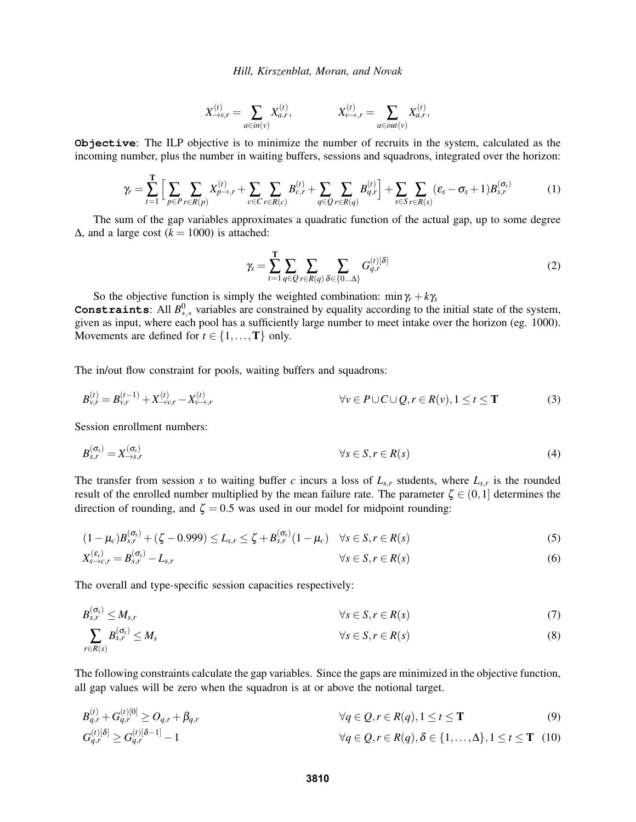$$
X_{\to v,r}^{(t)} = \sum_{a \in in(v)} X_{a,r}^{(t)}, \qquad X_{v \to r}^{(t)} = \sum_{a \in out(v)} X_{a,r}^{(t)},
$$

**Objective**: The ILP objective is to minimize the number of recruits in the system, calculated as the incoming number, plus the number in waiting buffers, sessions and squadrons, integrated over the horizon:

$$
\gamma_r = \sum_{t=1}^T \Big[ \sum_{p \in P} \sum_{r \in R(p)} X_{p \to r}^{(t)} + \sum_{c \in C} \sum_{r \in R(c)} B_{c,r}^{(t)} + \sum_{q \in Q} \sum_{r \in R(q)} B_{q,r}^{(t)} \Big] + \sum_{s \in S} \sum_{r \in R(s)} (\varepsilon_s - \sigma_s + 1) B_{s,r}^{(\sigma_s)} \tag{1}
$$

The sum of the gap variables approximates a quadratic function of the actual gap, up to some degree  $Δ$ , and a large cost ( $k = 1000$ ) is attached:

$$
\gamma_s = \sum_{t=1}^{\mathbf{T}} \sum_{q \in \mathcal{Q}} \sum_{r \in R(q)} \sum_{\delta \in \{0... \Delta\}} G_{q,r}^{(t)[\delta]} \tag{2}
$$

So the objective function is simply the weighted combination:  $\min \gamma_r + k\gamma_s$ **Constraints**: All  $B^0_{*,*}$  variables are constrained by equality according to the initial state of the system, given as input, where each pool has a sufficiently large number to meet intake over the horizon (eg. 1000). Movements are defined for  $t \in \{1, ..., T\}$  only.

The in/out flow constraint for pools, waiting buffers and squadrons:

$$
B_{\nu,r}^{(t)} = B_{\nu,r}^{(t-1)} + X_{\to\nu,r}^{(t)} - X_{\nu\to,r}^{(t)}
$$
\n
$$
\forall \nu \in P \cup C \cup Q, r \in R(\nu), 1 \le t \le T
$$
\n(3)

Session enrollment numbers:

$$
B_{s,r}^{(\sigma_s)} = X_{\to s,r}^{(\sigma_s)} \qquad \qquad \forall s \in S, r \in R(s) \tag{4}
$$

The transfer from session *s* to waiting buffer *c* incurs a loss of  $L_{s,r}$  students, where  $L_{s,r}$  is the rounded result of the enrolled number multiplied by the mean failure rate. The parameter  $\zeta \in (0,1]$  determines the direction of rounding, and  $\zeta = 0.5$  was used in our model for midpoint rounding:

$$
(1 - \mu_c)B_{s,r}^{(\sigma_s)} + (\zeta - 0.999) \le L_{s,r} \le \zeta + B_{s,r}^{(\sigma_s)}(1 - \mu_c) \quad \forall s \in S, r \in R(s)
$$
\n
$$
(5)
$$

$$
X_{s \to c,r}^{(\varepsilon_s)} = B_{s,r}^{(\sigma_s)} - L_{s,r} \tag{6}
$$

The overall and type-specific session capacities respectively:

$$
B_{s,r}^{(\sigma_s)} \leq M_{s,r} \qquad \forall s \in S, r \in R(s) \tag{7}
$$

$$
\sum_{r \in R(s)} B_{s,r}^{(\sigma_s)} \le M_s \qquad \forall s \in S, r \in R(s)
$$
\n(8)

The following constraints calculate the gap variables. Since the gaps are minimized in the objective function, all gap values will be zero when the squadron is at or above the notional target.

$$
B_{q,r}^{(t)} + G_{q,r}^{(t)[0]} \ge O_{q,r} + \beta_{q,r} \qquad \qquad \forall q \in \mathcal{Q}, r \in R(q), 1 \le t \le \mathbf{T} \qquad (9)
$$

$$
G_{q,r}^{(t)[\delta]} \ge G_{q,r}^{(t)[\delta-1]} - 1
$$
\n
$$
\forall q \in \mathcal{Q}, r \in R(q), \delta \in \{1, \dots, \Delta\}, 1 \le t \le T \quad (10)
$$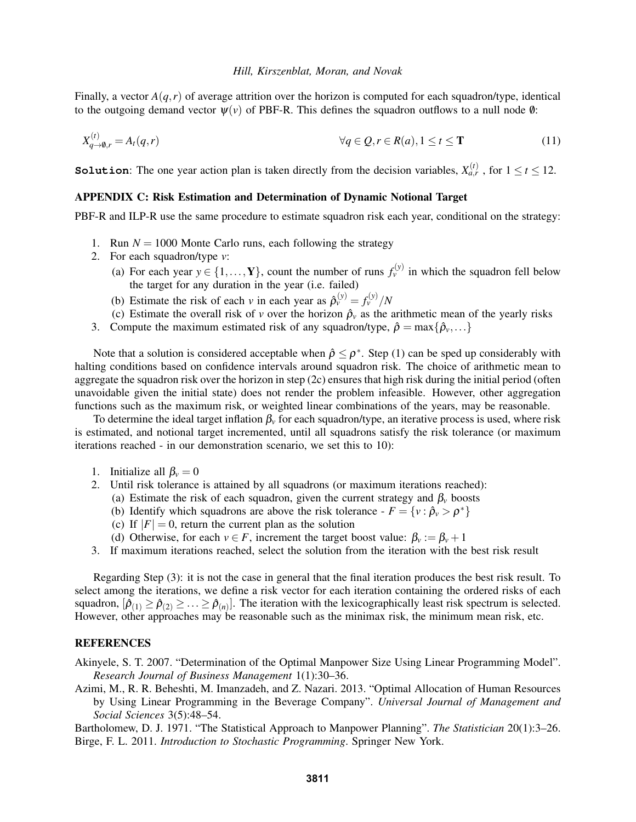Finally, a vector  $A(q, r)$  of average attrition over the horizon is computed for each squadron/type, identical to the outgoing demand vector  $\psi(\nu)$  of PBF-R. This defines the squadron outflows to a null node  $\emptyset$ :

$$
X_{q \to 0,r}^{(t)} = A_t(q,r) \qquad \qquad \forall q \in \mathcal{Q}, r \in R(a), 1 \le t \le \mathbf{T} \tag{11}
$$

**Solution**: The one year action plan is taken directly from the decision variables,  $X_{a,r}^{(t)}$ , for  $1 \le t \le 12$ .

## APPENDIX C: Risk Estimation and Determination of Dynamic Notional Target

PBF-R and ILP-R use the same procedure to estimate squadron risk each year, conditional on the strategy:

- 1. Run  $N = 1000$  Monte Carlo runs, each following the strategy
- 2. For each squadron/type *v*:
	- (a) For each year  $y \in \{1, \ldots, Y\}$ , count the number of runs  $f_{\nu}^{(y)}$  in which the squadron fell below the target for any duration in the year (i.e. failed)
	- (b) Estimate the risk of each *v* in each year as  $\hat{\rho}_v^{(y)} = f_v^{(y)}/N$
	- (c) Estimate the overall risk of *v* over the horizon  $\hat{\rho}_v$  as the arithmetic mean of the yearly risks
- 3. Compute the maximum estimated risk of any squadron/type,  $\hat{\rho} = \max\{\hat{\rho}_v, \ldots\}$

Note that a solution is considered acceptable when  $\hat{\rho} \leq \rho^*$ . Step (1) can be sped up considerably with halting conditions based on confidence intervals around squadron risk. The choice of arithmetic mean to aggregate the squadron risk over the horizon in step (2c) ensures that high risk during the initial period (often unavoidable given the initial state) does not render the problem infeasible. However, other aggregation functions such as the maximum risk, or weighted linear combinations of the years, may be reasonable.

To determine the ideal target inflation  $\beta_\nu$  for each squadron/type, an iterative process is used, where risk is estimated, and notional target incremented, until all squadrons satisfy the risk tolerance (or maximum iterations reached - in our demonstration scenario, we set this to 10):

- 1. Initialize all  $\beta_v = 0$
- 2. Until risk tolerance is attained by all squadrons (or maximum iterations reached):
	- (a) Estimate the risk of each squadron, given the current strategy and  $\beta_\nu$  boosts
	- (b) Identify which squadrons are above the risk tolerance  $F = \{v : \hat{\rho}_v > \rho^*\}$
	- (c) If  $|F| = 0$ , return the current plan as the solution
	- (d) Otherwise, for each  $v \in F$ , increment the target boost value:  $\beta_v := \beta_v + 1$
- 3. If maximum iterations reached, select the solution from the iteration with the best risk result

Regarding Step (3): it is not the case in general that the final iteration produces the best risk result. To select among the iterations, we define a risk vector for each iteration containing the ordered risks of each squadron,  $[\hat{\rho}_{(1)} \ge \hat{\rho}_{(2)} \ge \ldots \ge \hat{\rho}_{(n)}]$ . The iteration with the lexicographically least risk spectrum is selected. However, other approaches may be reasonable such as the minimax risk, the minimum mean risk, etc.

#### REFERENCES

Akinyele, S. T. 2007. "Determination of the Optimal Manpower Size Using Linear Programming Model". *Research Journal of Business Management* 1(1):30–36.

Azimi, M., R. R. Beheshti, M. Imanzadeh, and Z. Nazari. 2013. "Optimal Allocation of Human Resources by Using Linear Programming in the Beverage Company". *Universal Journal of Management and Social Sciences* 3(5):48–54.

Bartholomew, D. J. 1971. "The Statistical Approach to Manpower Planning". *The Statistician* 20(1):3–26. Birge, F. L. 2011. *Introduction to Stochastic Programming*. Springer New York.